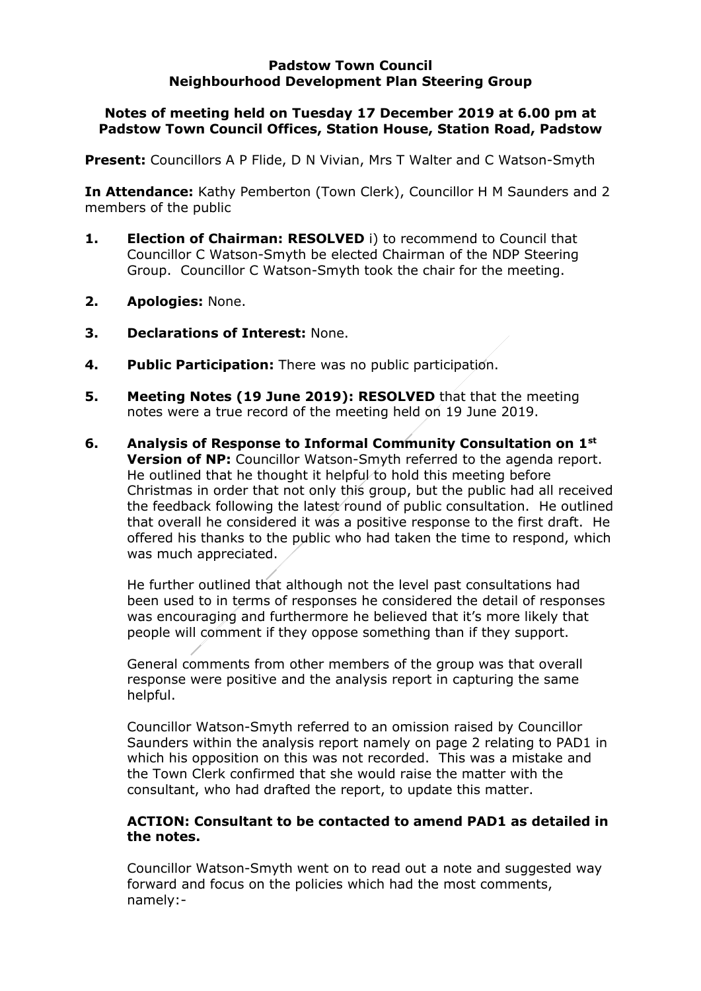## **Padstow Town Council Neighbourhood Development Plan Steering Group**

## **Notes of meeting held on Tuesday 17 December 2019 at 6.00 pm at Padstow Town Council Offices, Station House, Station Road, Padstow**

**Present:** Councillors A P Flide, D N Vivian, Mrs T Walter and C Watson-Smyth

**In Attendance:** Kathy Pemberton (Town Clerk), Councillor H M Saunders and 2 members of the public

- **1. Election of Chairman: RESOLVED** i) to recommend to Council that Councillor C Watson-Smyth be elected Chairman of the NDP Steering Group. Councillor C Watson-Smyth took the chair for the meeting.
- **2. Apologies:** None.
- **3. Declarations of Interest:** None.
- **4. Public Participation:** There was no public participation.
- **5. Meeting Notes (19 June 2019): RESOLVED** that that the meeting notes were a true record of the meeting held on 19 June 2019.
- **6. Analysis of Response to Informal Community Consultation on 1st Version of NP:** Councillor Watson-Smyth referred to the agenda report. He outlined that he thought it helpful to hold this meeting before Christmas in order that not only this group, but the public had all received the feedback following the latest round of public consultation. He outlined that overall he considered it was a positive response to the first draft. He offered his thanks to the public who had taken the time to respond, which was much appreciated.

He further outlined that although not the level past consultations had been used to in terms of responses he considered the detail of responses was encouraging and furthermore he believed that it's more likely that people will comment if they oppose something than if they support.

General comments from other members of the group was that overall response were positive and the analysis report in capturing the same helpful.

Councillor Watson-Smyth referred to an omission raised by Councillor Saunders within the analysis report namely on page 2 relating to PAD1 in which his opposition on this was not recorded. This was a mistake and the Town Clerk confirmed that she would raise the matter with the consultant, who had drafted the report, to update this matter.

## **ACTION: Consultant to be contacted to amend PAD1 as detailed in the notes.**

Councillor Watson-Smyth went on to read out a note and suggested way forward and focus on the policies which had the most comments, namely:-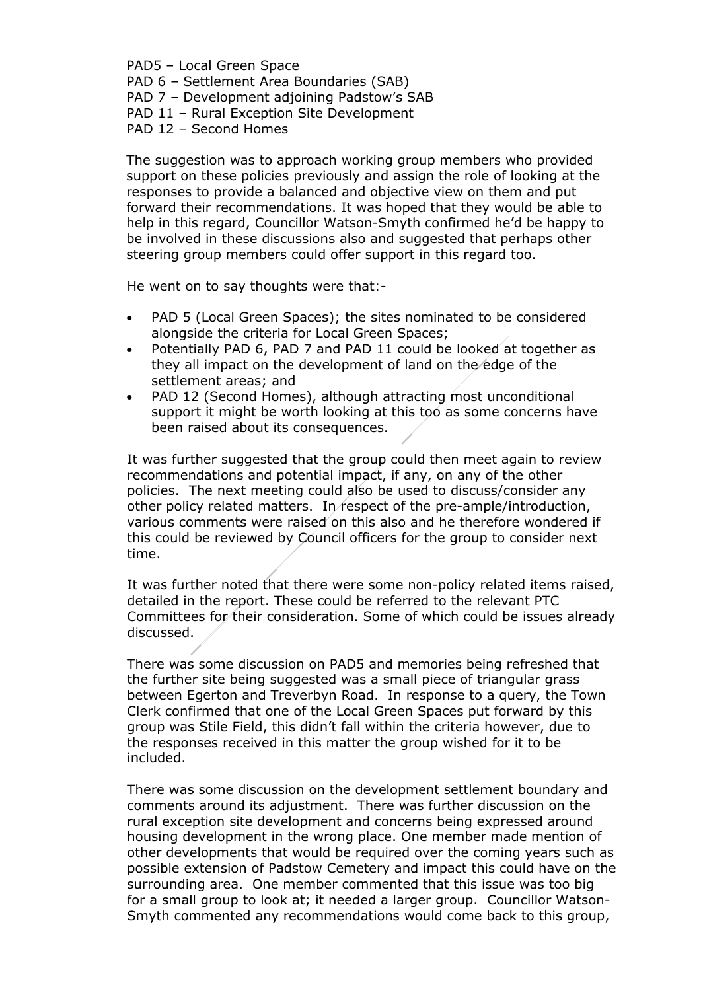PAD5 – Local Green Space PAD 6 – Settlement Area Boundaries (SAB) PAD 7 – Development adjoining Padstow's SAB PAD 11 – Rural Exception Site Development PAD 12 – Second Homes

The suggestion was to approach working group members who provided support on these policies previously and assign the role of looking at the responses to provide a balanced and objective view on them and put forward their recommendations. It was hoped that they would be able to help in this regard, Councillor Watson-Smyth confirmed he'd be happy to be involved in these discussions also and suggested that perhaps other steering group members could offer support in this regard too.

He went on to say thoughts were that:-

- PAD 5 (Local Green Spaces); the sites nominated to be considered alongside the criteria for Local Green Spaces;
- Potentially PAD 6, PAD 7 and PAD 11 could be looked at together as they all impact on the development of land on the edge of the settlement areas; and
- PAD 12 (Second Homes), although attracting most unconditional support it might be worth looking at this too as some concerns have been raised about its consequences.

It was further suggested that the group could then meet again to review recommendations and potential impact, if any, on any of the other policies. The next meeting could also be used to discuss/consider any other policy related matters. In respect of the pre-ample/introduction, various comments were raised on this also and he therefore wondered if this could be reviewed by Council officers for the group to consider next time.

It was further noted that there were some non-policy related items raised, detailed in the report. These could be referred to the relevant PTC Committees for their consideration. Some of which could be issues already discussed.

There was some discussion on PAD5 and memories being refreshed that the further site being suggested was a small piece of triangular grass between Egerton and Treverbyn Road. In response to a query, the Town Clerk confirmed that one of the Local Green Spaces put forward by this group was Stile Field, this didn't fall within the criteria however, due to the responses received in this matter the group wished for it to be included.

There was some discussion on the development settlement boundary and comments around its adjustment. There was further discussion on the rural exception site development and concerns being expressed around housing development in the wrong place. One member made mention of other developments that would be required over the coming years such as possible extension of Padstow Cemetery and impact this could have on the surrounding area. One member commented that this issue was too big for a small group to look at; it needed a larger group. Councillor Watson-Smyth commented any recommendations would come back to this group,